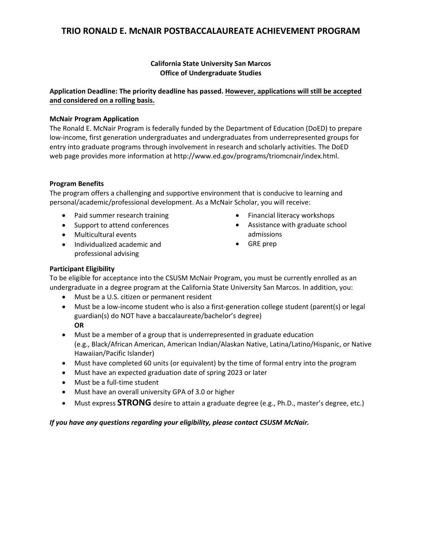### **California State University San Marcos Office of Undergraduate Studies**

### **Application Deadline: The priority deadline has passed. However, applications will still be accepted and considered on a rolling basis.**

### **McNair Program Application**

The Ronald E. McNair Program is federally funded by the Department of Education (DoED) to prepare low-income, first generation undergraduates and undergraduates from underrepresented groups for entry into graduate programs through involvement in research and scholarly activities. The DoED web page provides more information at http://www.ed.gov/programs/triomcnair/index.html.

### **Program Benefits**

The program offers a challenging and supportive environment that is conducive to learning and personal/academic/professional development. As a McNair Scholar, you will receive:

- Paid summer research training
- Support to attend conferences
- Multicultural events
- Individualized academic and professional advising
- Financial literacy workshops
- Assistance with graduate school admissions
- GRE prep

### **Participant Eligibility**

To be eligible for acceptance into the CSUSM McNair Program, you must be currently enrolled as an undergraduate in a degree program at the California State University San Marcos. In addition, you:

- Must be a U.S. citizen or permanent resident
- Must be a low-income student who is also a first-generation college student (parent(s) or legal guardian(s) do NOT have a baccalaureate/bachelor's degree) **OR**
- Must be a member of a group that is underrepresented in graduate education (e.g., Black/African American, American Indian/Alaskan Native, Latina/Latino/Hispanic, or Native Hawaiian/Pacific Islander)
- Must have completed 60 units (or equivalent) by the time of formal entry into the program
- Must have an expected graduation date of spring 2023 or later
- Must be a full-time student
- Must have an overall university GPA of 3.0 or higher
- Must express **STRONG** desire to attain a graduate degree (e.g., Ph.D., master's degree, etc.)

#### *If you have any questions regarding your eligibility, please contact CSUSM McNair.*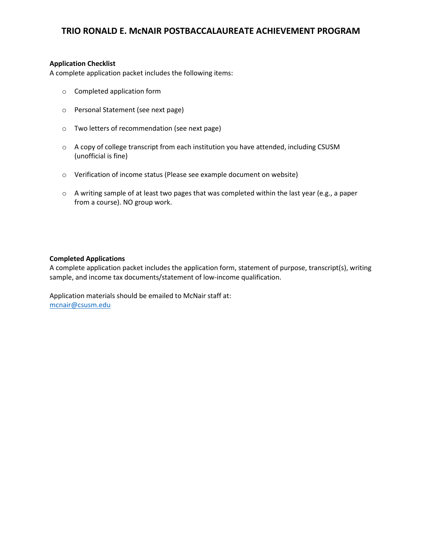#### **Application Checklist**

A complete application packet includes the following items:

- o Completed application form
- o Personal Statement (see next page)
- o Two letters of recommendation (see next page)
- $\circ$  A copy of college transcript from each institution you have attended, including CSUSM (unofficial is fine)
- o Verification of income status (Please see example document on website)
- o A writing sample of at least two pages that was completed within the last year (e.g., a paper from a course). NO group work.

#### **Completed Applications**

A complete application packet includes the application form, statement of purpose, transcript(s), writing sample, and income tax documents/statement of low-income qualification.

Application materials should be emailed to McNair staff at: [mcnair@csusm.edu](mailto:mcnair@csusm.edu)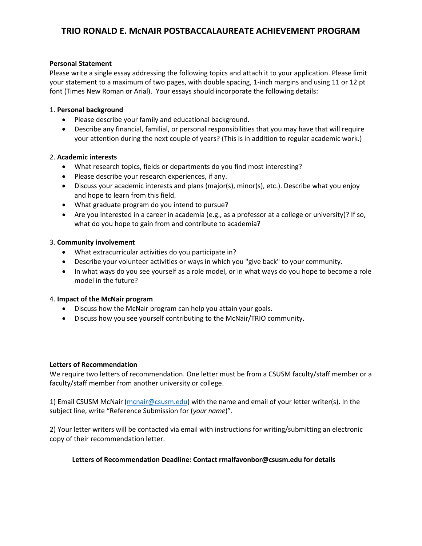#### **Personal Statement**

Please write a single essay addressing the following topics and attach it to your application. Please limit your statement to a maximum of two pages, with double spacing, 1-inch margins and using 11 or 12 pt font (Times New Roman or Arial). Your essays should incorporate the following details:

#### 1. **Personal background**

- Please describe your family and educational background.
- Describe any financial, familial, or personal responsibilities that you may have that will require your attention during the next couple of years? (This is in addition to regular academic work.)

#### 2. **Academic interests**

- What research topics, fields or departments do you find most interesting?
- Please describe your research experiences, if any.
- Discuss your academic interests and plans (major(s), minor(s), etc.). Describe what you enjoy and hope to learn from this field.
- What graduate program do you intend to pursue?
- Are you interested in a career in academia (e.g., as a professor at a college or university)? If so, what do you hope to gain from and contribute to academia?

#### 3. **Community involvement**

- What extracurricular activities do you participate in?
- Describe your volunteer activities or ways in which you "give back" to your community.
- In what ways do you see yourself as a role model, or in what ways do you hope to become a role model in the future?

#### 4. **Impact of the McNair program**

- Discuss how the McNair program can help you attain your goals.
- Discuss how you see yourself contributing to the McNair/TRIO community.

#### **Letters of Recommendation**

We require two letters of recommendation. One letter must be from a CSUSM faculty/staff member or a faculty/staff member from another university or college.

1) Email CSUSM McNair [\(mcnair@csusm.edu\)](mailto:mcnair@csusm.edu) with the name and email of your letter writer(s). In the subject line, write "Reference Submission for (*your name*)".

2) Your letter writers will be contacted via email with instructions for writing/submitting an electronic copy of their recommendation letter.

#### **Letters of Recommendation Deadline: Contact rmalfavonbor@csusm.edu for details**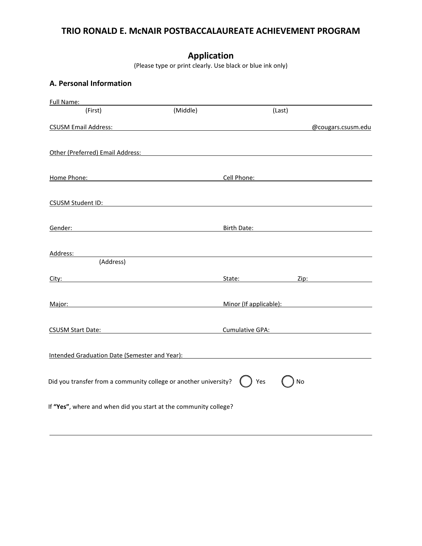# **Application**

(Please type or print clearly. Use black or blue ink only)

### **A. Personal Information**

| Full Name:                                                                                                                                                                                                                           |          |                       |                                                                                                                                                                                                                                |
|--------------------------------------------------------------------------------------------------------------------------------------------------------------------------------------------------------------------------------------|----------|-----------------------|--------------------------------------------------------------------------------------------------------------------------------------------------------------------------------------------------------------------------------|
| (First)                                                                                                                                                                                                                              | (Middle) | (Last)                |                                                                                                                                                                                                                                |
| CSUSM Email Address: North American Communication of the CSUSM Email Address:                                                                                                                                                        |          |                       | @cougars.csusm.edu                                                                                                                                                                                                             |
| Other (Preferred) Email Address: North and Social Address and Society and Society and Society and Society and Society and Society and Society and Society and Society and Society and Society and Society and Society and Soci       |          |                       |                                                                                                                                                                                                                                |
| Home Phone: Note and the state of the state of the state of the state of the state of the state of the state of the state of the state of the state of the state of the state of the state of the state of the state of the st       |          |                       | Cell Phone: The Contract of the Contract of the Contract of the Contract of the Contract of the Contract of the Contract of the Contract of the Contract of the Contract of the Contract of the Contract of the Contract of th |
| <b>CSUSM Student ID: CSUSM Student ID: CSUSM Student ID:</b>                                                                                                                                                                         |          |                       |                                                                                                                                                                                                                                |
| Gender: Entertainment of the state of the state of the state of the state of the state of the state of the state of the state of the state of the state of the state of the state of the state of the state of the state of th       |          |                       | Birth Date: National Accounts and Accounts and Accounts and Accounts are also been accounted as a set of the s                                                                                                                 |
| Address:<br>(Address)                                                                                                                                                                                                                |          |                       |                                                                                                                                                                                                                                |
|                                                                                                                                                                                                                                      |          |                       |                                                                                                                                                                                                                                |
| <u>Major: 2008 - 2008 - 2008 - 2018 - 2018 - 2018 - 2018 - 2018 - 2018 - 2018 - 2018 - 2018 - 2018 - 2018 - 2018 - 2018 - 2018 - 2018 - 2018 - 2018 - 2018 - 2018 - 2018 - 2018 - 2018 - 2018 - 2018 - 2018 - 2018 - 2018 - 2018</u> |          |                       | Minor (If applicable): Minor (If applicable):                                                                                                                                                                                  |
| <b>CSUSM Start Date:</b> COMMON CUMULATIVE GPA: CUMULATIVE GPA:                                                                                                                                                                      |          |                       |                                                                                                                                                                                                                                |
| Intended Graduation Date (Semester and Year): National Assembly of the Case of the Case of the Case of the Case of the Case of the Case of the Case of the Case of the Case of the Case of the Case of the Case of the Case of       |          |                       |                                                                                                                                                                                                                                |
| Did you transfer from a community college or another university?                                                                                                                                                                     |          | ) Yes<br>$\mathbf{C}$ | No                                                                                                                                                                                                                             |
| If "Yes", where and when did you start at the community college?                                                                                                                                                                     |          |                       |                                                                                                                                                                                                                                |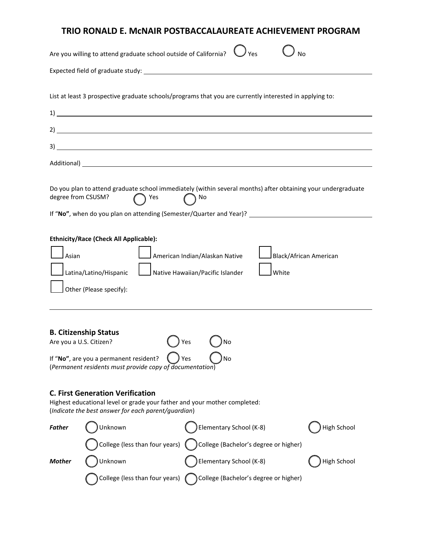|                                                                                                                                                                             | Are you willing to attend graduate school outside of California?                                                                                                                                                            |                                                                    |                                        | No                     |  |
|-----------------------------------------------------------------------------------------------------------------------------------------------------------------------------|-----------------------------------------------------------------------------------------------------------------------------------------------------------------------------------------------------------------------------|--------------------------------------------------------------------|----------------------------------------|------------------------|--|
|                                                                                                                                                                             |                                                                                                                                                                                                                             |                                                                    |                                        |                        |  |
|                                                                                                                                                                             | List at least 3 prospective graduate schools/programs that you are currently interested in applying to:                                                                                                                     |                                                                    |                                        |                        |  |
|                                                                                                                                                                             |                                                                                                                                                                                                                             |                                                                    |                                        |                        |  |
|                                                                                                                                                                             |                                                                                                                                                                                                                             |                                                                    |                                        |                        |  |
|                                                                                                                                                                             | $3)$ $\overline{\phantom{a}}$                                                                                                                                                                                               |                                                                    |                                        |                        |  |
|                                                                                                                                                                             |                                                                                                                                                                                                                             |                                                                    |                                        |                        |  |
| degree from CSUSM?                                                                                                                                                          | Do you plan to attend graduate school immediately (within several months) after obtaining your undergraduate<br>Yes<br>If "No", when do you plan on attending (Semester/Quarter and Year)? ________________________________ | No                                                                 |                                        |                        |  |
|                                                                                                                                                                             |                                                                                                                                                                                                                             |                                                                    |                                        |                        |  |
| Asian                                                                                                                                                                       | <b>Ethnicity/Race (Check All Applicable):</b><br>Latina/Latino/Hispanic<br>Other (Please specify):                                                                                                                          | American Indian/Alaskan Native<br>Native Hawaiian/Pacific Islander | White                                  | Black/African American |  |
| Are you a U.S. Citizen?                                                                                                                                                     | <b>B. Citizenship Status</b><br>If "No", are you a permanent resident?<br>(Permanent residents must provide copy of documentation)                                                                                          | Yes<br>No<br>No<br>Yes                                             |                                        |                        |  |
| <b>C. First Generation Verification</b><br>Highest educational level or grade your father and your mother completed:<br>(Indicate the best answer for each parent/guardian) |                                                                                                                                                                                                                             |                                                                    |                                        |                        |  |
| <b>Father</b>                                                                                                                                                               | Unknown                                                                                                                                                                                                                     |                                                                    | Elementary School (K-8)                | <b>High School</b>     |  |
|                                                                                                                                                                             | College (less than four years)                                                                                                                                                                                              |                                                                    | College (Bachelor's degree or higher)  |                        |  |
| Mother                                                                                                                                                                      | Unknown                                                                                                                                                                                                                     |                                                                    | Elementary School (K-8)                | <b>High School</b>     |  |
|                                                                                                                                                                             | College (less than four years)                                                                                                                                                                                              |                                                                    | (College (Bachelor's degree or higher) |                        |  |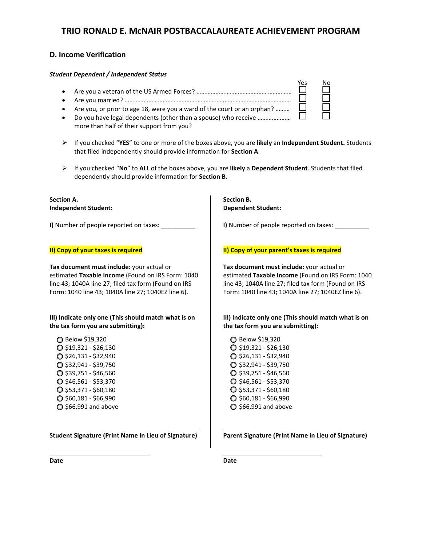### **D. Income Verification**

#### *Student Dependent / Independent Status*

|           |                                                                           | Yes | No |
|-----------|---------------------------------------------------------------------------|-----|----|
|           |                                                                           |     | ப  |
|           |                                                                           |     |    |
|           | • Are you, or prior to age 18, were you a ward of the court or an orphan? |     |    |
| $\bullet$ |                                                                           |     |    |
|           | more than half of their support from you?                                 |     |    |

- If you checked "**YES**" to one or more of the boxes above, you are **likely** an **Independent Student.** Students that filed independently should provide information for **Section A**.
- If you checked "**No**" to **ALL** of the boxes above, you are **likely** a **Dependent Student**. Students that filed dependently should provide information for **Section B**.

**Section A. Independent Student:** 

**I)** Number of people reported on taxes:

### **II) Copy of your taxes is required**

**Tax document must include:** your actual or estimated **Taxable Income** (Found on IRS Form: 1040 line 43; 1040A line 27; filed tax form (Found on IRS Form: 1040 line 43; 1040A line 27; 1040EZ line 6).

#### **III) Indicate only one (This should match what is on the tax form you are submitting):**

**O** Below \$19,320  $\bigcirc$  \$19,321 - \$26,130  $\bigcirc$  \$26,131 - \$32,940  $\bigcirc$  \$32,941 - \$39,750  $\bigcirc$  \$39,751 - \$46,560  $\bigcirc$  \$46,561 - \$53,370  $O$  \$53,371 - \$60,180  $\bigcirc$  \$60,181 - \$66,990  $\bigcirc$  \$66,991 and above

**Student Signature (Print Name in Lieu of Signature)**

**Section B. Dependent Student:**

**I)** Number of people reported on taxes:

#### **II) Copy of your parent's taxes is required**

**Tax document must include:** your actual or estimated **Taxable Income** (Found on IRS Form: 1040 line 43; 1040A line 27; filed tax form (Found on IRS Form: 1040 line 43; 1040A line 27; 1040EZ line 6).

**III) Indicate only one (This should match what is on the tax form you are submitting):**

**C** Below \$19,320  $\bigcirc$  \$19,321 - \$26,130  $\bigcirc$  \$26,131 - \$32,940  $\bigcirc$  \$32,941 - \$39,750  $\bigcirc$  \$39,751 - \$46,560  $\bigcirc$  \$46,561 - \$53,370  $O$  \$53,371 - \$60,180  $\bigcirc$  \$60,181 - \$66,990  $\bigcirc$  \$66,991 and above

**Parent Signature (Print Name in Lieu of Signature)**

**Date**

**Date**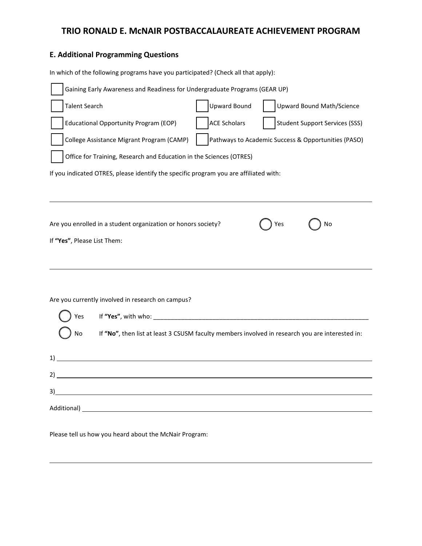# **E. Additional Programming Questions**

In which of the following programs have you participated? (Check all that apply):

| Gaining Early Awareness and Readiness for Undergraduate Programs (GEAR UP)                                                                                        |  |  |  |  |  |
|-------------------------------------------------------------------------------------------------------------------------------------------------------------------|--|--|--|--|--|
| <b>Upward Bound</b><br>Upward Bound Math/Science<br><b>Talent Search</b>                                                                                          |  |  |  |  |  |
| <b>ACE Scholars</b><br><b>Student Support Services (SSS)</b><br><b>Educational Opportunity Program (EOP)</b>                                                      |  |  |  |  |  |
| Pathways to Academic Success & Opportunities (PASO)<br>College Assistance Migrant Program (CAMP)                                                                  |  |  |  |  |  |
| Office for Training, Research and Education in the Sciences (OTRES)                                                                                               |  |  |  |  |  |
| If you indicated OTRES, please identify the specific program you are affiliated with:                                                                             |  |  |  |  |  |
|                                                                                                                                                                   |  |  |  |  |  |
| Are you enrolled in a student organization or honors society?<br>Yes<br>No<br>If "Yes", Please List Them:                                                         |  |  |  |  |  |
| Are you currently involved in research on campus?<br>Yes<br>No<br>If "No", then list at least 3 CSUSM faculty members involved in research you are interested in: |  |  |  |  |  |
|                                                                                                                                                                   |  |  |  |  |  |
|                                                                                                                                                                   |  |  |  |  |  |
| 3)                                                                                                                                                                |  |  |  |  |  |
| Additional) Additional Additional Additional Additional Additional Additional Additional Additional Additional                                                    |  |  |  |  |  |

Please tell us how you heard about the McNair Program: